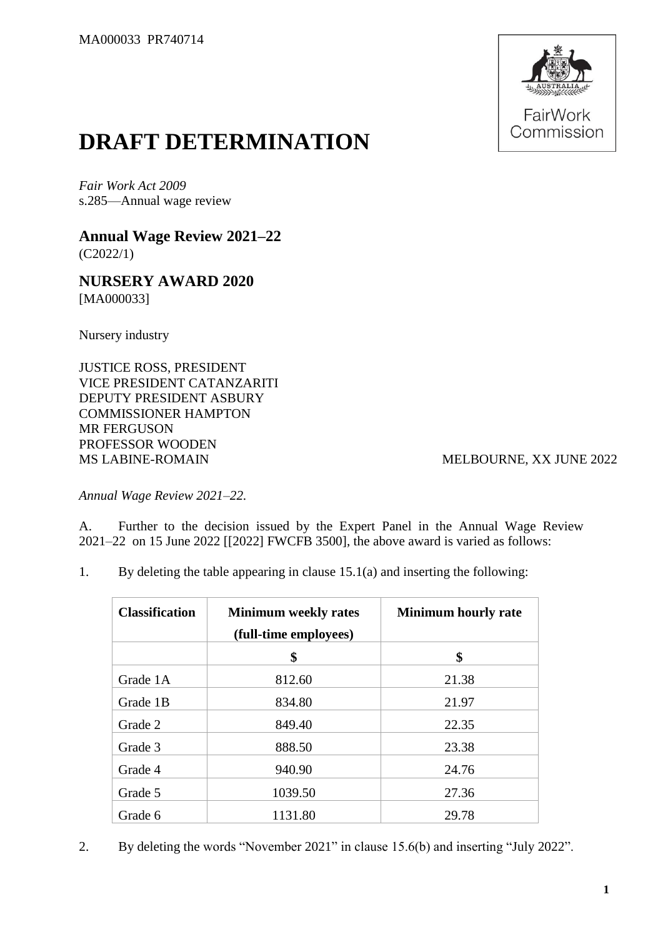

## **DRAFT DETERMINATION**

*Fair Work Act 2009* s.285—Annual wage review

**Annual Wage Review 2021–22** (C2022/1)

**NURSERY AWARD 2020** [MA000033]

Nursery industry

JUSTICE ROSS, PRESIDENT VICE PRESIDENT CATANZARITI DEPUTY PRESIDENT ASBURY COMMISSIONER HAMPTON MR FERGUSON PROFESSOR WOODEN MS LABINE-ROMAIN MELBOURNE, XX JUNE 2022

*Annual Wage Review 2021–22.*

A. Further to the decision issued by the Expert Panel in the Annual Wage Review 2021–22 on 15 June 2022 [[2022] FWCFB 3500], the above award is varied as follows:

1. By deleting the table appearing in clause 15.1(a) and inserting the following:

| <b>Classification</b> | <b>Minimum weekly rates</b><br>(full-time employees) | <b>Minimum hourly rate</b> |  |  |
|-----------------------|------------------------------------------------------|----------------------------|--|--|
|                       | \$                                                   | \$                         |  |  |
| Grade 1A              | 812.60                                               | 21.38                      |  |  |
| Grade 1B              | 834.80                                               | 21.97                      |  |  |
| Grade 2               | 849.40                                               | 22.35                      |  |  |
| Grade 3               | 888.50                                               | 23.38                      |  |  |
| Grade 4               | 940.90                                               | 24.76                      |  |  |
| Grade 5               | 1039.50                                              | 27.36                      |  |  |
| Grade 6               | 1131.80                                              | 29.78                      |  |  |

2. By deleting the words "November 2021" in clause 15.6(b) and inserting "July 2022".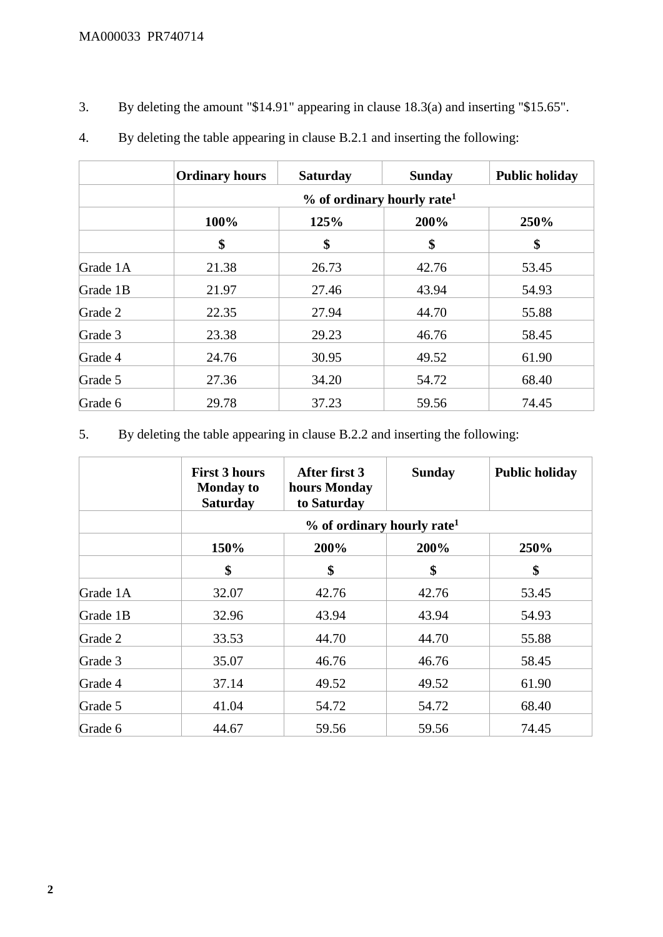3. By deleting the amount "\$14.91" appearing in clause 18.3(a) and inserting "\$15.65".

|          | <b>Ordinary hours</b>                    | <b>Saturday</b> | <b>Sunday</b> | <b>Public holiday</b> |  |
|----------|------------------------------------------|-----------------|---------------|-----------------------|--|
|          | $%$ of ordinary hourly rate <sup>1</sup> |                 |               |                       |  |
|          | 100%                                     | 125%            | 200%          | 250%                  |  |
|          | \$                                       | \$              | \$            | \$                    |  |
| Grade 1A | 21.38                                    | 26.73           | 42.76         | 53.45                 |  |
| Grade 1B | 21.97                                    | 27.46           | 43.94         | 54.93                 |  |
| Grade 2  | 22.35                                    | 27.94           | 44.70         | 55.88                 |  |
| Grade 3  | 23.38                                    | 29.23           | 46.76         | 58.45                 |  |
| Grade 4  | 24.76                                    | 30.95           | 49.52         | 61.90                 |  |
| Grade 5  | 27.36                                    | 34.20           | 54.72         | 68.40                 |  |
| Grade 6  | 29.78                                    | 37.23           | 59.56         | 74.45                 |  |

4. By deleting the table appearing in clause B.2.1 and inserting the following:

5. By deleting the table appearing in clause B.2.2 and inserting the following:

|          | <b>First 3 hours</b><br><b>Monday to</b><br><b>Saturday</b> | After first 3<br>hours Monday<br>to Saturday | <b>Sunday</b> | <b>Public holiday</b> |  |  |
|----------|-------------------------------------------------------------|----------------------------------------------|---------------|-----------------------|--|--|
|          |                                                             | $%$ of ordinary hourly rate <sup>1</sup>     |               |                       |  |  |
|          | 150%                                                        | 200%                                         | 200%          | 250%                  |  |  |
|          | \$                                                          | \$                                           | \$            | \$                    |  |  |
| Grade 1A | 32.07                                                       | 42.76                                        | 42.76         | 53.45                 |  |  |
| Grade 1B | 32.96                                                       | 43.94                                        | 43.94         |                       |  |  |
| Grade 2  | 33.53                                                       | 44.70                                        | 44.70         | 55.88                 |  |  |
| Grade 3  | 35.07                                                       | 46.76                                        | 46.76         | 58.45                 |  |  |
| Grade 4  | 37.14                                                       | 49.52                                        | 49.52         | 61.90                 |  |  |
| Grade 5  | 41.04                                                       | 54.72                                        | 54.72         | 68.40                 |  |  |
| Grade 6  | 44.67                                                       | 59.56                                        | 59.56         | 74.45                 |  |  |